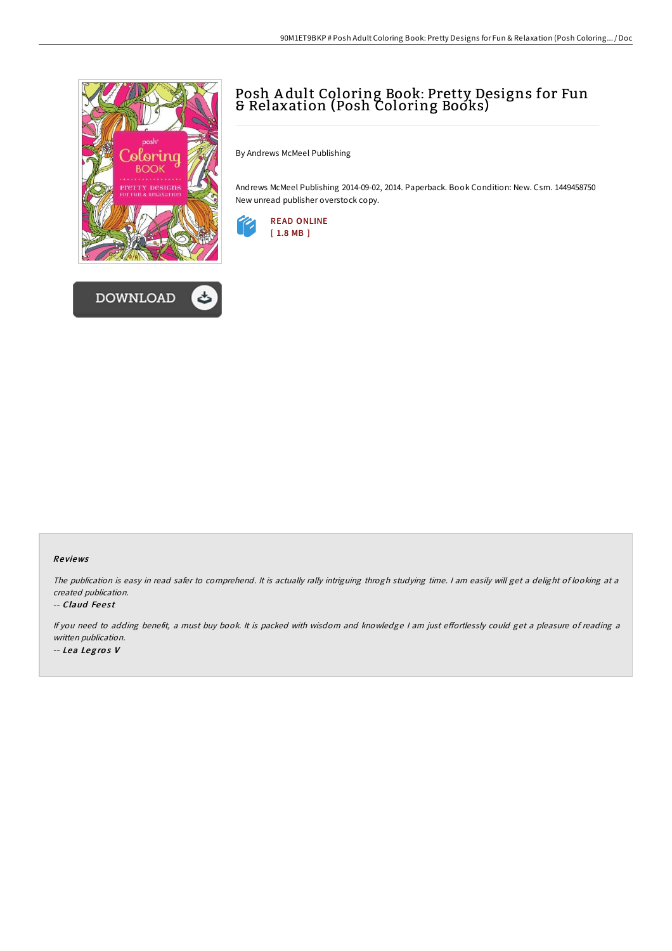



## Posh A dult Coloring Book: Pretty Designs for Fun & Relaxation (Posh Coloring Books)

By Andrews McMeel Publishing

Andrews McMeel Publishing 2014-09-02, 2014. Paperback. Book Condition: New. Csm. 1449458750 New unread publisher overstock copy.



## Re views

The publication is easy in read safer to comprehend. It is actually rally intriguing throgh studying time. I am easily will get a delight of looking at a created publication.

## -- Claud Feest

If you need to adding benefit, a must buy book. It is packed with wisdom and knowledge I am just effortlessly could get a pleasure of reading a written publication. -- Lea Legros V